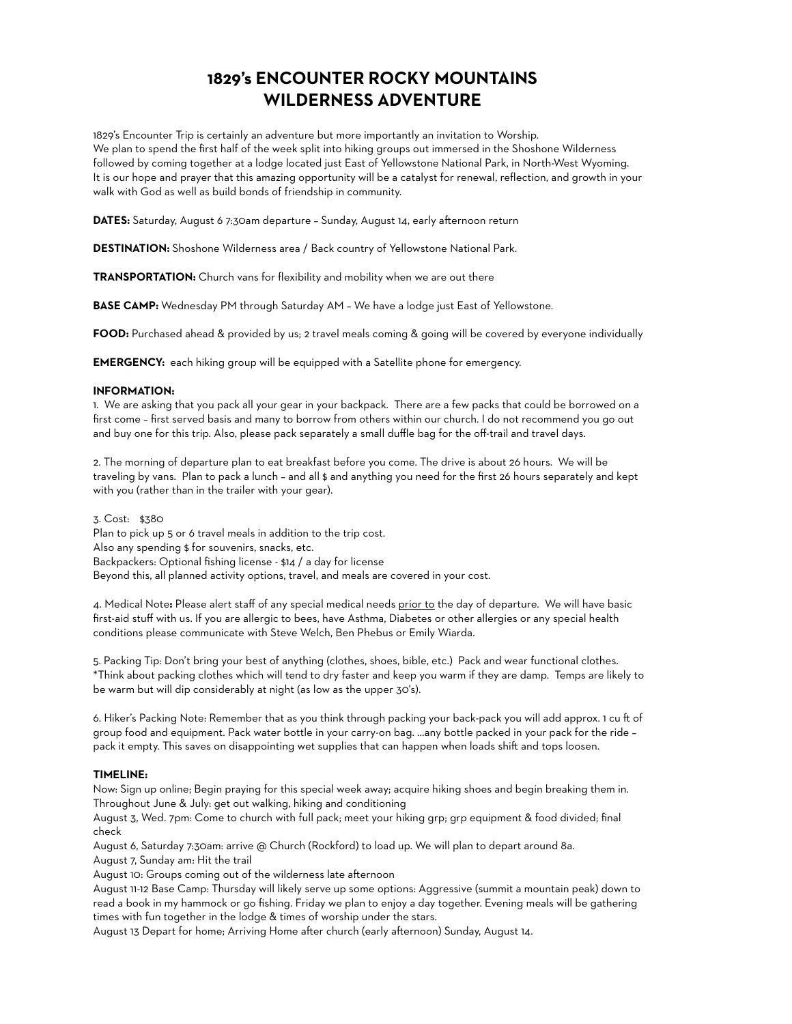# **1829's ENCOUNTER ROCKY MOUNTAINS WILDERNESS ADVENTURE**

1829's Encounter Trip is certainly an adventure but more importantly an invitation to Worship. We plan to spend the first half of the week split into hiking groups out immersed in the Shoshone Wilderness followed by coming together at a lodge located just East of Yellowstone National Park, in North-West Wyoming. It is our hope and prayer that this amazing opportunity will be a catalyst for renewal, reflection, and growth in your walk with God as well as build bonds of friendship in community.

**DATES:** Saturday, August 6 7:30am departure – Sunday, August 14, early afternoon return

**DESTINATION:** Shoshone Wilderness area / Back country of Yellowstone National Park.

**TRANSPORTATION:** Church vans for flexibility and mobility when we are out there

**BASE CAMP:** Wednesday PM through Saturday AM – We have a lodge just East of Yellowstone.

**FOOD:** Purchased ahead & provided by us; 2 travel meals coming & going will be covered by everyone individually

**EMERGENCY:** each hiking group will be equipped with a Satellite phone for emergency.

### **INFORMATION:**

1. We are asking that you pack all your gear in your backpack. There are a few packs that could be borrowed on a first come – first served basis and many to borrow from others within our church. I do not recommend you go out and buy one for this trip. Also, please pack separately a small duffle bag for the off-trail and travel days.

2. The morning of departure plan to eat breakfast before you come. The drive is about 26 hours. We will be traveling by vans. Plan to pack a lunch – and all \$ and anything you need for the first 26 hours separately and kept with you (rather than in the trailer with your gear).

3. Cost: \$380 Plan to pick up 5 or 6 travel meals in addition to the trip cost. Also any spending \$ for souvenirs, snacks, etc. Backpackers: Optional fishing license - \$14 / a day for license Beyond this, all planned activity options, travel, and meals are covered in your cost.

4. Medical Note**:** Please alert staff of any special medical needs prior to the day of departure. We will have basic first-aid stuff with us. If you are allergic to bees, have Asthma, Diabetes or other allergies or any special health conditions please communicate with Steve Welch, Ben Phebus or Emily Wiarda.

5. Packing Tip: Don't bring your best of anything (clothes, shoes, bible, etc.) Pack and wear functional clothes. \*Think about packing clothes which will tend to dry faster and keep you warm if they are damp. Temps are likely to be warm but will dip considerably at night (as low as the upper 30's).

6. Hiker's Packing Note: Remember that as you think through packing your back-pack you will add approx. 1 cu ft of group food and equipment. Pack water bottle in your carry-on bag. …any bottle packed in your pack for the ride – pack it empty. This saves on disappointing wet supplies that can happen when loads shift and tops loosen.

#### **TIMELINE:**

Now: Sign up online; Begin praying for this special week away; acquire hiking shoes and begin breaking them in. Throughout June & July: get out walking, hiking and conditioning

August 3, Wed. 7pm: Come to church with full pack; meet your hiking grp; grp equipment & food divided; final check

August 6, Saturday 7:30am: arrive @ Church (Rockford) to load up. We will plan to depart around 8a. August 7, Sunday am: Hit the trail

August 10: Groups coming out of the wilderness late afternoon

August 11-12 Base Camp: Thursday will likely serve up some options: Aggressive (summit a mountain peak) down to read a book in my hammock or go fishing. Friday we plan to enjoy a day together. Evening meals will be gathering times with fun together in the lodge & times of worship under the stars.

August 13 Depart for home; Arriving Home after church (early afternoon) Sunday, August 14.